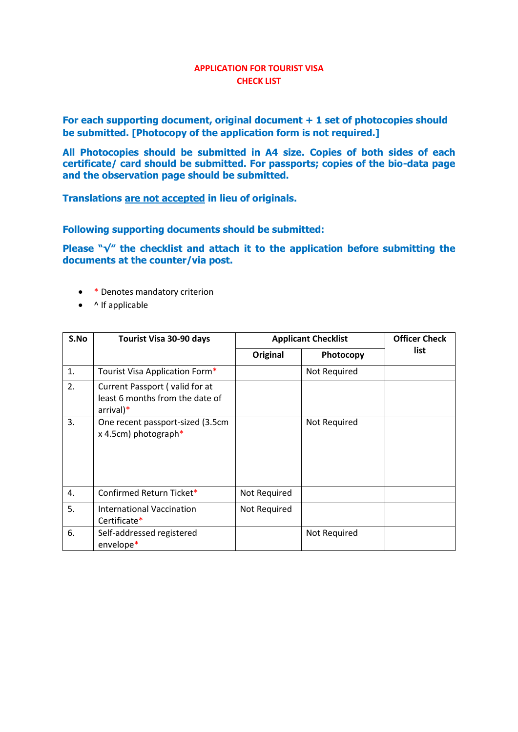#### **APPLICATION FOR TOURIST VISA CHECK LIST**

**For each supporting document, original document + 1 set of photocopies should be submitted. [Photocopy of the application form is not required.]** 

**All Photocopies should be submitted in A4 size. Copies of both sides of each certificate/ card should be submitted. For passports; copies of the bio-data page and the observation page should be submitted.**

**Translations are not accepted in lieu of originals.**

**Following supporting documents should be submitted:** 

**Please "√" the checklist and attach it to the application before submitting the documents at the counter/via post.**

- \* Denotes mandatory criterion
- $\bullet$  ^ If applicable

| S.No | Tourist Visa 30-90 days                                                          | <b>Applicant Checklist</b> |              | <b>Officer Check</b> |
|------|----------------------------------------------------------------------------------|----------------------------|--------------|----------------------|
|      |                                                                                  | Original                   | Photocopy    | list                 |
| 1.   | Tourist Visa Application Form*                                                   |                            | Not Required |                      |
| 2.   | Current Passport (valid for at<br>least 6 months from the date of<br>$arrival)*$ |                            |              |                      |
| 3.   | One recent passport-sized (3.5cm<br>x 4.5cm) photograph*                         |                            | Not Required |                      |
| 4.   | Confirmed Return Ticket*                                                         | Not Required               |              |                      |
| 5.   | <b>International Vaccination</b><br>Certificate*                                 | Not Required               |              |                      |
| 6.   | Self-addressed registered<br>envelope*                                           |                            | Not Required |                      |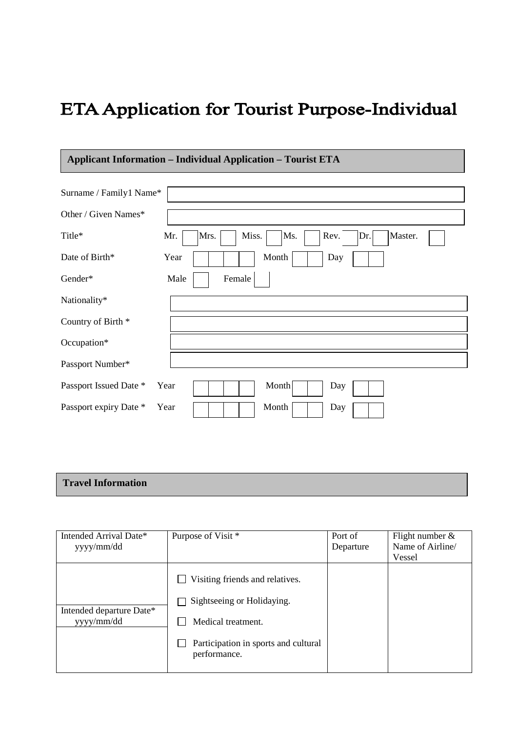# ETA Application for Tourist Purpose-Individual

## **Applicant Information – Individual Application – Tourist ETA**

| Surname / Family1 Name* |                                                       |
|-------------------------|-------------------------------------------------------|
| Other / Given Names*    |                                                       |
| Title*                  | Miss.<br>Ms.<br>Rev.<br>Master.<br>Mr.<br>Mrs.<br>Dr. |
| Date of Birth*          | Month<br>Year<br>Day                                  |
| Gender*                 | Male<br>Female                                        |
| Nationality*            |                                                       |
| Country of Birth *      |                                                       |
| Occupation*             |                                                       |
| Passport Number*        |                                                       |
| Passport Issued Date *  | Month<br>Year<br>Day                                  |
| Passport expiry Date *  | Month<br>Year<br>Day                                  |

## **Travel Information**

| Intended Arrival Date*<br>yyyy/mm/dd   | Purpose of Visit *                                                                                                                          | Port of<br>Departure | Flight number $\&$<br>Name of Airline/<br>Vessel |
|----------------------------------------|---------------------------------------------------------------------------------------------------------------------------------------------|----------------------|--------------------------------------------------|
| Intended departure Date*<br>yyyy/mm/dd | Visiting friends and relatives.<br>Sightseeing or Holidaying.<br>Medical treatment.<br>Participation in sports and cultural<br>performance. |                      |                                                  |